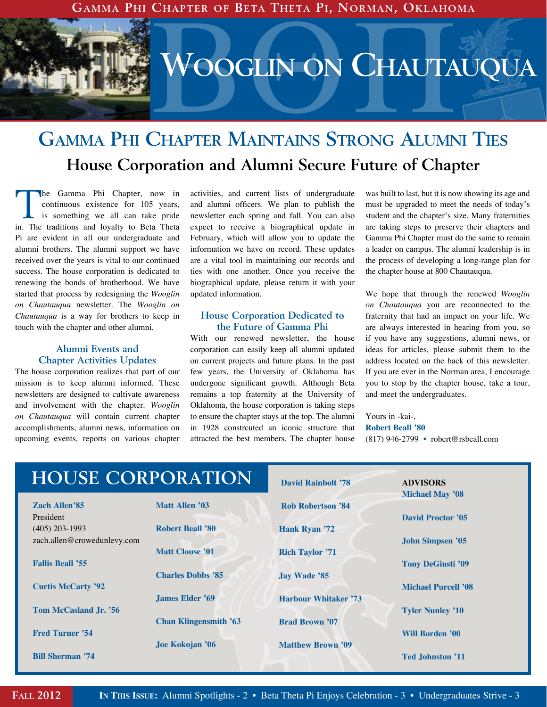**Gamma Phi Chapter of Beta Theta Pi, Norman, Oklahoma**

BQP **Wooglin on Chautauqua**

## **Gamma Phi Chapter Maintains Strong Alumni Ties House Corporation and Alumni Secure Future of Chapter**

The Gamma Phi Chapter, now in<br>
continuous existence for 105 years,<br>
is something we all can take pride<br>
in The traditions of looking the Peter That continuous existence for 105 years, in. The traditions and loyalty to Beta Theta Pi are evident in all our undergraduate and alumni brothers. The alumni support we have received over the years is vital to our continued success. The house corporation is dedicated to renewing the bonds of brotherhood. We have started that process by redesigning the *Wooglin on Chautauqua* newsletter. The *Wooglin on Chautauqua* is a way for brothers to keep in touch with the chapter and other alumni.

### **Alumni Events and Chapter Activities Updates**

The house corporation realizes that part of our mission is to keep alumni informed. These newsletters are designed to cultivate awareness and involvement with the chapter. *Wooglin on Chautauqua* will contain current chapter accomplishments, alumni news, information on upcoming events, reports on various chapter

activities, and current lists of undergraduate and alumni officers. We plan to publish the newsletter each spring and fall. You can also expect to receive a biographical update in February, which will allow you to update the information we have on record. These updates are a vital tool in maintaining our records and ties with one another. Once you receive the biographical update, please return it with your updated information.

#### **House Corporation Dedicated to the Future of Gamma Phi**

With our renewed newsletter, the house corporation can easily keep all alumni updated on current projects and future plans. In the past few years, the University of Oklahoma has undergone significant growth. Although Beta remains a top fraternity at the University of Oklahoma, the house corporation is taking steps to ensure the chapter stays at the top. The alumni in 1928 constrcuted an iconic structure that attracted the best members. The chapter house was built to last, but it is now showing its age and must be upgraded to meet the needs of today's student and the chapter's size. Many fraternities are taking steps to preserve their chapters and Gamma Phi Chapter must do the same to remain a leader on campus. The alumni leadership is in the process of developing a long-range plan for the chapter house at 800 Chautauqua.

We hope that through the renewed *Wooglin on Chautauqua* you are reconnected to the fraternity that had an impact on your life. We are always interested in hearing from you, so if you have any suggestions, alumni news, or ideas for articles, please submit them to the address located on the back of this newsletter. If you are ever in the Norman area, I encourage you to stop by the chapter house, take a tour, and meet the undergraduates.

Yours in -kai-, **Robert Beall '80** (817) 946-2799 **•** robert@rsbeall.com

| <b>HOUSE CORPORATION</b>    |                              | <b>David Rainbolt '78</b>   | <b>ADVISORS</b>            |
|-----------------------------|------------------------------|-----------------------------|----------------------------|
| <b>Zach Allen'85</b>        | Matt Allen '03               | <b>Rob Robertson '84</b>    | <b>Michael May '08</b>     |
| President                   |                              |                             | <b>David Proctor '05</b>   |
| $(405)$ 203-1993            | <b>Robert Beall '80</b>      | Hank Ryan '72               |                            |
| zach.allen@crowedunlevy.com |                              |                             | <b>John Simpsen '05</b>    |
|                             | <b>Matt Clouse '01</b>       | <b>Rich Taylor '71</b>      |                            |
| <b>Fallis Beall '55</b>     |                              |                             | <b>Tony DeGiusti '09</b>   |
|                             | <b>Charles Dobbs '85</b>     | <b>Jay Wade '85</b>         |                            |
| <b>Curtis McCarty '92</b>   |                              |                             | <b>Michael Purcell '08</b> |
|                             | James Elder '69              | <b>Harbour Whitaker '73</b> |                            |
| Tom McCasland Jr. '56       |                              |                             | <b>Tyler Nunley '10</b>    |
| <b>Fred Turner '54</b>      | <b>Chan Klingensmith '63</b> | <b>Brad Brown '07</b>       | <b>Will Borden '00</b>     |
|                             | Joe Kokojan '06              | <b>Matthew Brown '09</b>    |                            |
| <b>Bill Sherman '74</b>     |                              |                             | <b>Ted Johnston '11</b>    |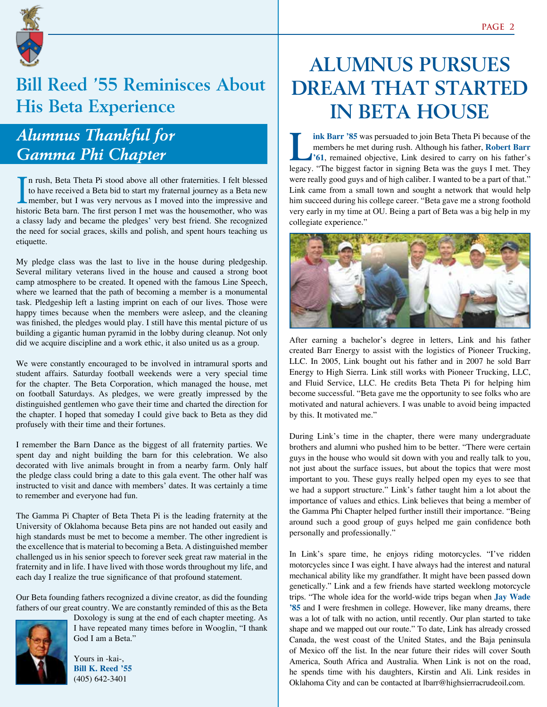

### **Bill Reed '55 Reminisces About His Beta Experience**

### *Alumnus Thankful for Gamma Phi Chapter*

In rush, Beta Theta Pi stood above all other fraternities. I felt blessed<br>to have received a Beta bid to start my fraternal journey as a Beta new<br>member, but I was very nervous as I moved into the impressive and<br>historic B n rush, Beta Theta Pi stood above all other fraternities. I felt blessed to have received a Beta bid to start my fraternal journey as a Beta new historic Beta barn. The first person I met was the housemother, who was a classy lady and became the pledges' very best friend. She recognized the need for social graces, skills and polish, and spent hours teaching us etiquette.

My pledge class was the last to live in the house during pledgeship. Several military veterans lived in the house and caused a strong boot camp atmosphere to be created. It opened with the famous Line Speech, where we learned that the path of becoming a member is a monumental task. Pledgeship left a lasting imprint on each of our lives. Those were happy times because when the members were asleep, and the cleaning was finished, the pledges would play. I still have this mental picture of us building a gigantic human pyramid in the lobby during cleanup. Not only did we acquire discipline and a work ethic, it also united us as a group.

We were constantly encouraged to be involved in intramural sports and student affairs. Saturday football weekends were a very special time for the chapter. The Beta Corporation, which managed the house, met on football Saturdays. As pledges, we were greatly impressed by the distinguished gentlemen who gave their time and charted the direction for the chapter. I hoped that someday I could give back to Beta as they did profusely with their time and their fortunes.

I remember the Barn Dance as the biggest of all fraternity parties. We spent day and night building the barn for this celebration. We also decorated with live animals brought in from a nearby farm. Only half the pledge class could bring a date to this gala event. The other half was instructed to visit and dance with members' dates. It was certainly a time to remember and everyone had fun.

The Gamma Pi Chapter of Beta Theta Pi is the leading fraternity at the University of Oklahoma because Beta pins are not handed out easily and high standards must be met to become a member. The other ingredient is the excellence that is material to becoming a Beta. A distinguished member challenged us in his senior speech to forever seek great raw material in the fraternity and in life. I have lived with those words throughout my life, and each day I realize the true significance of that profound statement.

Our Beta founding fathers recognized a divine creator, as did the founding fathers of our great country. We are constantly reminded of this as the Beta



Doxology is sung at the end of each chapter meeting. As I have repeated many times before in Wooglin, "I thank God I am a Beta."

Yours in -kai-, **Bill K. Reed '55** (405) 642-3401

# **Alumnus Pursues Dream that Started in Beta House**

**Lackubility Community States** Theta Theta Pi because of the members he met during rush. Although his father, **Robert Barr** <sup>1</sup>61, remained objective, Link desired to carry on his father's laceau. "The historic factor in s members he met during rush. Although his father, **Robert Barr**  legacy. "The biggest factor in signing Beta was the guys I met. They were really good guys and of high caliber. I wanted to be a part of that." Link came from a small town and sought a network that would help him succeed during his college career. "Beta gave me a strong foothold very early in my time at OU. Being a part of Beta was a big help in my collegiate experience."



After earning a bachelor's degree in letters, Link and his father created Barr Energy to assist with the logistics of Pioneer Trucking, LLC. In 2005, Link bought out his father and in 2007 he sold Barr Energy to High Sierra. Link still works with Pioneer Trucking, LLC, and Fluid Service, LLC. He credits Beta Theta Pi for helping him become successful. "Beta gave me the opportunity to see folks who are motivated and natural achievers. I was unable to avoid being impacted by this. It motivated me."

During Link's time in the chapter, there were many undergraduate brothers and alumni who pushed him to be better. "There were certain guys in the house who would sit down with you and really talk to you, not just about the surface issues, but about the topics that were most important to you. These guys really helped open my eyes to see that we had a support structure." Link's father taught him a lot about the importance of values and ethics. Link believes that being a member of the Gamma Phi Chapter helped further instill their importance. "Being around such a good group of guys helped me gain confidence both personally and professionally."

In Link's spare time, he enjoys riding motorcycles. "I've ridden motorcycles since I was eight. I have always had the interest and natural mechanical ability like my grandfather. It might have been passed down genetically." Link and a few friends have started weeklong motorcycle trips. "The whole idea for the world-wide trips began when **Jay Wade '85** and I were freshmen in college. However, like many dreams, there was a lot of talk with no action, until recently. Our plan started to take shape and we mapped out our route." To date, Link has already crossed Canada, the west coast of the United States, and the Baja peninsula of Mexico off the list. In the near future their rides will cover South America, South Africa and Australia. When Link is not on the road, he spends time with his daughters, Kirstin and Ali. Link resides in Oklahoma City and can be contacted at lbarr@highsierracrudeoil.com.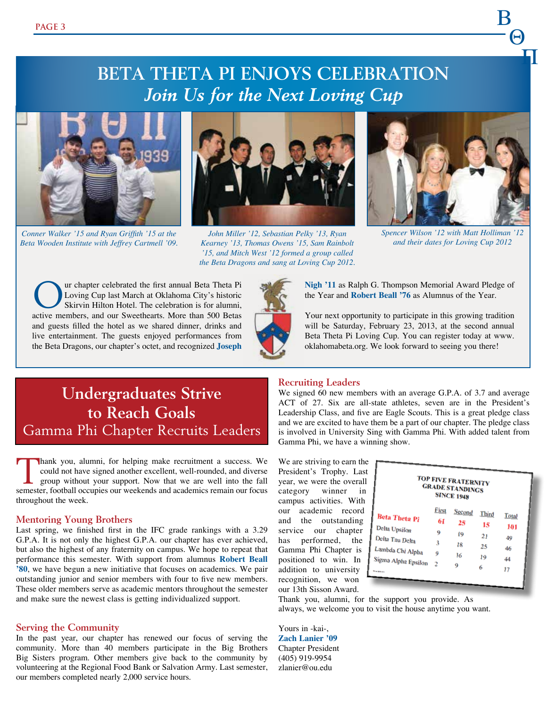### **Beta Theta Pi Enjoys Celebration** *Join Us for the Next Loving Cup*



*Conner Walker '15 and Ryan Griffith '15 at the Beta Wooden Institute with Jeffrey Cartmell '09.*



*John Miller '12, Sebastian Pelky '13, Ryan Kearney '13, Thomas Owens '15, Sam Rainbolt '15, and Mitch West '12 formed a group called the Beta Dragons and sang at Loving Cup 2012.*



B

 $-\Theta$ 

<u>pa</u>

*Spencer Wilson '12 with Matt Holliman '12 and their dates for Loving Cup 2012*

**Our chapter celebrated the first annual Beta Theta Pi**<br>
Skirvin Explorer Skirvin Hilton Hotel. The celebration is for alumni,<br>
Skirvin Hilton Hotel. The celebration is for alumni, Loving Cup last March at Oklahoma City's historic active members, and our Sweethearts. More than 500 Betas and guests filled the hotel as we shared dinner, drinks and live entertainment. The guests enjoyed performances from the Beta Dragons, our chapter's octet, and recognized **Joseph** 



**Nigh '11** as Ralph G. Thompson Memorial Award Pledge of the Year and **Robert Beall '76** as Alumnus of the Year.

Your next opportunity to participate in this growing tradition will be Saturday, February 23, 2013, at the second annual Beta Theta Pi Loving Cup. You can register today at www. oklahomabeta.org. We look forward to seeing you there!

### **Undergraduates Strive to Reach Goals** Gamma Phi Chapter Recruits Leaders

hank you, alumni, for helping make recruitment a success. We could not have signed another excellent, well-rounded, and diverse group without your support. Now that we are well into the fall semester, football occupies our weekends and academics remain our focus throughout the week.

#### **Mentoring Young Brothers**

Last spring, we finished first in the IFC grade rankings with a 3.29 G.P.A. It is not only the highest G.P.A. our chapter has ever achieved, but also the highest of any fraternity on campus. We hope to repeat that performance this semester. With support from alumnus **Robert Beall '80**, we have begun a new initiative that focuses on academics. We pair outstanding junior and senior members with four to five new members. These older members serve as academic mentors throughout the semester and make sure the newest class is getting individualized support.

#### **Serving the Community**

In the past year, our chapter has renewed our focus of serving the community. More than 40 members participate in the Big Brothers Big Sisters program. Other members give back to the community by volunteering at the Regional Food Bank or Salvation Army. Last semester, our members completed nearly 2,000 service hours.

#### **Recruiting Leaders**

We signed 60 new members with an average G.P.A. of 3.7 and average ACT of 27. Six are all-state athletes, seven are in the President's Leadership Class, and five are Eagle Scouts. This is a great pledge class and we are excited to have them be a part of our chapter. The pledge class is involved in University Sing with Gamma Phi. With added talent from Gamma Phi, we have a winning show.

We are striving to earn the  $\blacksquare$ President's Trophy. Last year, we were the overall category winner in campus activities. With our academic record and the outstanding service our chapter has performed, the Gamma Phi Chapter is positioned to win. In addition to university recognition, we won our 13th Sisson Award.

|                      |       | <b>TOP FIVE FRATERNITY</b><br><b>GRADE STANDINGS</b><br><b>SINCE 1948</b> |              |              |  |
|----------------------|-------|---------------------------------------------------------------------------|--------------|--------------|--|
| <b>Beta Theta Pi</b> | First | Second                                                                    | <b>Third</b> | <b>Total</b> |  |
| Delta Upsilon        | 61    | 25                                                                        | 15           | 101          |  |
| Delta Tau Delta      | 9     | 19                                                                        | 21           | 49           |  |
| Lambda Chi Alpha     | 3     | 18                                                                        | 25           | 46           |  |
| Sigma Alpha Epsilon  | Q     | 16                                                                        | 19           | 44           |  |
| <b>Brighton and</b>  | - 2   | Q                                                                         | 6            | 17           |  |

Thank you, alumni, for the support you provide. As always, we welcome you to visit the house anytime you want.

Yours in -kai-, **Zach Lanier '09** Chapter President (405) 919-9954 zlanier@ou.edu